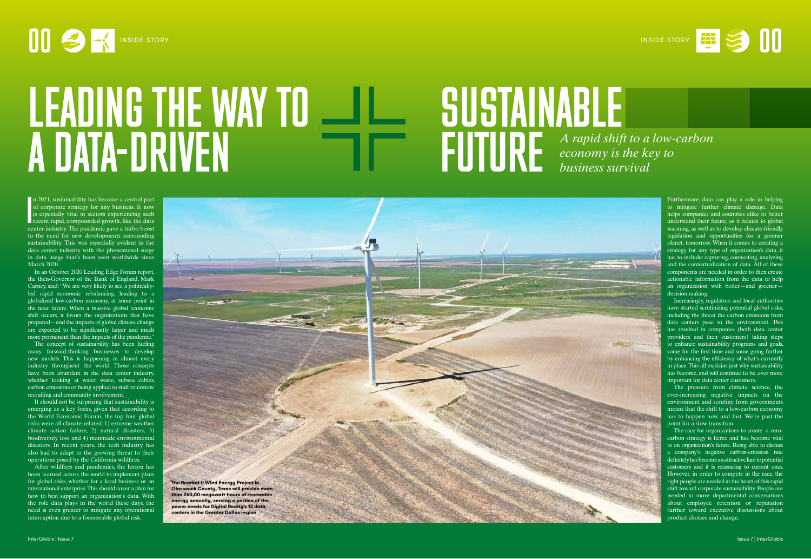# **00 B**  $\rightarrow$  INSIDE STORY **DELARFAMERICAN**

# SUSTAINABLE FUTURE LEADING THE WAY TO A DATA-DRIVEN **A** *A rapid shift to a low-carbon* **A** *A rapid shift to a low-carbon economy is the key to economy is the key to business survival*

I<br>I<br>I<br>Ce n 2021, sustainability has become a central part of corporate strategy for any business. It now is especially vital in sectors experiencing such recent rapid, compounded growth, like the data center industry. The pandemic gave a turbo boost to the need for new developments surrounding sustainability. This was especially evident in the data center industry with the phenomenal surge in data usage that's been seen worldwide since March 2020.

In an October 2020 Leading Edge Forum report, the then-Governor of the Bank of England, Mark Carney, said: "We are very likely to see a politicallyled rapid economic rebalancing, leading to a globalized low-carbon economy, at some point in the near future. When a massive global economic shift occurs, it favors the organizations that have prepared—and the impacts of global climate change are expected to be significantly larger and much more permanent than the impacts of the pandemic."

Furthermore, data can play a role in helping to mitigate further climate damage. Data helps companies and countries alike to better understand their future, as it relates to global warming, as well as to develop climate-friendly legislation and opportunities for a greener planet, tomorrow. When it comes to creating a strategy for any type of organization's data, it has to include: capturing, connecting, analyzing and the contextualization of data. All of these components are needed in order to then create actionable information from the data to help an organization with better—and greener decision making.

The concept of sustainability has been fueling many forward-thinking businesses to develop new models. This is happening in almost every industry throughout the world. Those concepts have been abundant in the data center industry, whether looking at water waste, subsea cables, carbon emissions or being applied to staff retention/ recruiting and community involvement.

It should not be surprising that sustainability is emerging as a key focus, given that according to the World Economic Forum, the top four global risks were all climate-related: 1) extreme weather climate action failure, 2) natural disasters, 3) biodiversity loss and 4) manmade environmental disasters. In recent years, the tech industry has also had to adapt to the growing threat to their operations posed by the California wildfires.

After wildfires and pandemics, the lesson has been learned across the world to implement plans for global risks, whether for a local business or an international enterprise. This should cover a plan for how to best support an organization's data. With the role data plays in the world these days, the need is even greater to mitigate any operational interruption due to a foreseeable global risk.

Increasingly, regulators and local authorities have started scrutinizing potential global risks, including the threat the carbon emissions from data centers pose to the environment. This has resulted in companies (both data center providers and their customers) taking steps to enhance sustainability programs and goals, some for the first time and some going further by enhancing the efficiency of what's currently in place. This all explains just why sustainability has become, and will continue to be, ever more important for data center customers.

The pressure from climate science, the ever-increasing negative impacts on the environment and scrutiny from governments means that the shift to a low-carbon economy has to happen now and fast. We're past the point for a slow transition.

The race for organizations to create a zerocarbon strategy is fierce and has become vital to an organization's future. Being able to discuss a company's negative carbon-emission rate definitely has become an attractive lure to potential customers and it is reassuring to current ones. However, in order to compete in the race, the right people are needed at the heart of this rapid shift toward corporate sustainability. People are needed to move departmental conversations about employee retention or reputation further toward executive discussions about product choices and change.

**The Bearkat II Wind Energy Project in Glasscock County, Texas will provide more than 260,00 megawatt-hours of renewable energy annually, serving a portion of the power needs for Digital Realty's 13 data centers in the Greater Dallas region**



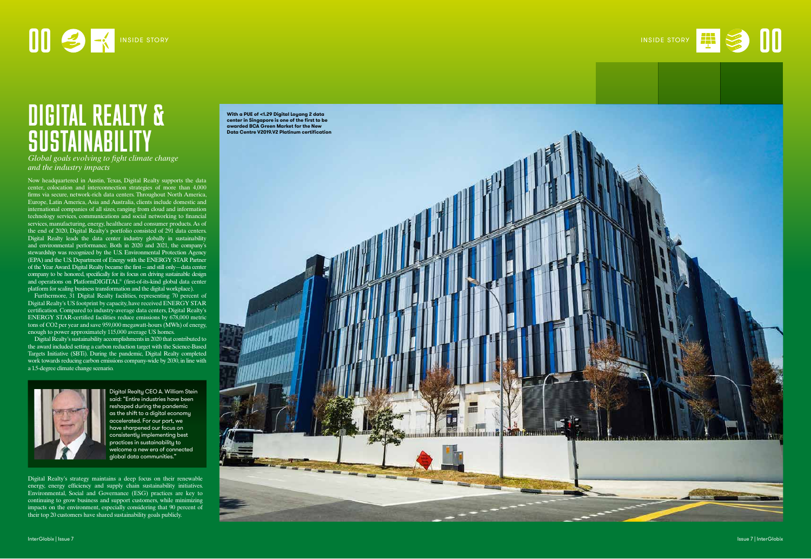Now headquartered in Austin, Texas, Digital Realty supports the data center, colocation and interconnection strategies of more than 4,000 firms via secure, network-rich data centers. Throughout North America, Europe, Latin America, Asia and Australia, clients include domestic and international companies of all sizes, ranging from cloud and information technology services, communications and social networking to financial services, manufacturing, energy, healthcare and consumer products. As of the end of 2020, Digital Realty's portfolio consisted of 291 data centers. Digital Realty leads the data center industry globally in sustainability and environmental performance. Both in 2020 and 2021, the company's stewardship was recognized by the U.S. Environmental Protection Agency (EPA) and the U.S. Department of Energy with the ENERGY STAR Partner of the Year Award. Digital Realty became the first—and still only—data center company to be honored, specifically for its focus on driving sustainable design and operations on PlatformDIGITAL® (first-of-its-kind global data center platform for scaling business transformation and the digital workplace).

# OD B RISIDE STORY NISIDE STORY **OR AN INSIDE STORY**

# DIGITAL REALTY & **SUSTAINABILITY**

Furthermore, 31 Digital Realty facilities, representing 70 percent of Digital Realty's US footprint by capacity, have received ENERGY STAR certification. Compared to industry-average data centers, Digital Realty's ENERGY STAR-certified facilities reduce emissions by 678,000 metric tons of CO2 per year and save 959,000 megawatt-hours (MWh) of energy, enough to power approximately 115,000 average US homes.

Digital Realty's sustainability accomplishments in 2020 that contributed to the award included setting a carbon reduction target with the Science-Based Targets Initiative (SBTi). During the pandemic, Digital Realty completed work towards reducing carbon emissions company-wide by 2030, in line with a 1.5-degree climate change scenario.



*Global goals evolving to fight climate change and the industry impacts*

Digital Realty CEO A. William Stein said: "Entire industries have been reshaped during the pandemic as the shift to a digital economy accelerated. For our part, we have sharpened our focus on consistently implementing best practices in sustainability to welcome a new era of connected global data communities."





Digital Realty's strategy maintains a deep focus on their renewable energy, energy efficiency and supply chain sustainability initiatives. Environmental, Social and Governance (ESG) practices are key to continuing to grow business and support customers, while minimizing impacts on the environment, especially considering that 90 percent of their top 20 customers have shared sustainability goals publicly.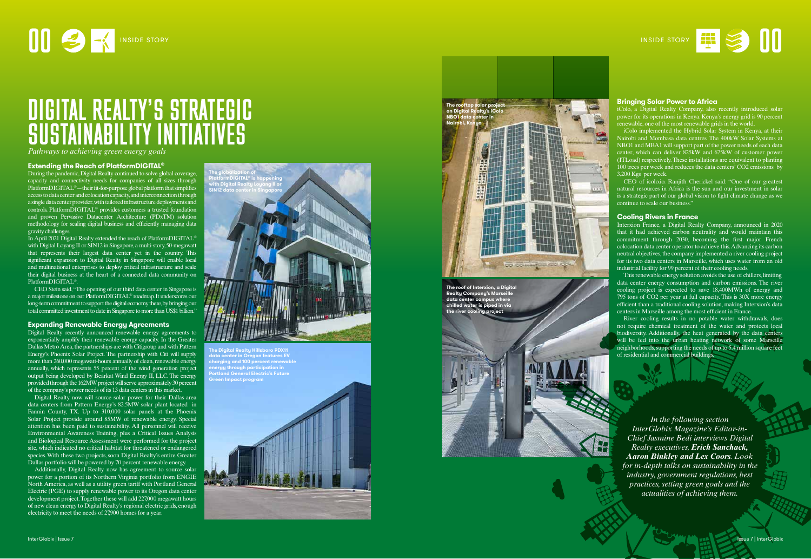*In the following section InterGlobix Magazine's Editor-in-Chief Jasmine Bedi interviews Digital Realty executives, Erich Sanchack, Aaron Binkley and Lex Coors. Look for in-depth talks on sustainability in the industry, government regulations, best practices, setting green goals and the actualities of achieving them.*

# DIGITAL REALTY'S STRATEGIC SUSTAINABILITY INITIATIVES

*Pathways to achieving green energy goals*

# **Extending the Reach of PlatformDIGITAL ®**

During the pandemic, Digital Realty continued to solve global coverage, capacity and connectivity needs for companies of all sizes through PlatformDIGITAL<sup>®</sup>—their fit-for-purpose global platform that simplifies access to data center and colocation capacity, and interconnection through a single data center provider, with tailored infrastructure deployments and controls. PlatformDIGITAL® provides customers a trusted foundation and proven Pervasive Datacenter Architecture (PDxTM) solution methodology for scaling digital business and efficiently managing data gravity challenges.

In April 2021 Digital Realty extended the reach of PlatformDIGITAL® with Digital Loyang II or SIN12 in Singapore, a multi-story, 50-megawatt that represents their largest data center yet in the country. This significant expansion to Digital Realty in Singapore will enable local and multinational enterprises to deploy critical infrastructure and scale their digital business at the heart of a connected data community on PlatformDIGITAL® .

CEO Stein said, "The opening of our third data center in Singapore is a major milestone on our PlatformDIGITAL® roadmap. It underscores our long-term commitment to support the digital economy there, by bringing our total committed investment to date in Singapore to more than US\$1 billion."

# **Expanding Renewable Energy Agreements**

Digital Realty recently announced renewable energy agreements to exponentially amplify their renewable energy capacity. In the Greater Dallas Metro Area, the partnerships are with Citigroup and with Pattern Energy's Phoenix Solar Project. The partnership with Citi will supply more than 260,000 megawatt-hours annually of clean, renewable energy annually, which represents 55 percent of the wind generation project output being developed by Bearkat Wind Energy II, LLC. The energy provided through the 162MW project will serve approximately 30 percent of the company's power needs of its 13 data centers in this market.

Digital Realty now will source solar power for their Dallas-area data centers from Pattern Energy's 82.5MW solar plant located in Fannin County, TX. Up to 310,000 solar panels at the Phoenix Solar Project provide around 85MW of renewable energy. Special attention has been paid to sustainability. All personnel will receive Environmental Awareness Training, plus a Critical Issues Analysis and Biological Resource Assessment were performed for the project site, which indicated no critical habitat for threatened or endangered species. With these two projects, soon Digital Realty's entire Greater Dallas portfolio will be powered by 70 percent renewable energy.

Additionally, Digital Realty now has agreement to source solar power for a portion of its Northern Virginia portfolio from ENGIE North America, as well as a utility green tariff with Portland General Electric (PGE) to supply renewable power to its Oregon data center development project. Together these will add 227,000 megawatt hours of new clean energy to Digital Realty's regional electric grids, enough electricity to meet the needs of 27,900 homes for a year.

# **Bringing Solar Power to Africa**

iColo, a Digital Realty Company, also recently introduced solar power for its operations in Kenya. Kenya's energy grid is 90 percent renewable, one of the most renewable grids in the world.

iColo implemented the Hybrid Solar System in Kenya, at their Nairobi and Mombasa data centres. The 400kW Solar Systems at NBO1 and MBA1 will support part of the power needs of each data center, which can deliver 825kW and 675kW of customer power (ITLoad) respectively. These installations are equivalent to planting 100 trees per week and reduces the data centers' CO2 emissions by 3,200 Kgs per week.

CEO of icolo.io. Ranjith Cherickel said: "One of our greatest natural resources in Africa is the sun and our investment in solar is a strategic part of our global vision to fight climate change as we continue to scale our business."

## **Cooling Rivers in France**

Interxion France, a Digital Realty Company, announced in 2020 that it had achieved carbon neutrality and would maintain this commitment through 2030, becoming the first major French colocation data center operator to achieve this. Advancing its carbon neutral objectives, the company implemented a river cooling project for its two data centers in Marseille, which uses water from an old industrial facility for 99 percent of their cooling needs.

This renewable energy solution avoids the use of chillers, limiting data center energy consumption and carbon emissions. The river cooling project is expected to save 18,400MWh of energy and 795 tons of CO2 per year at full capacity. This is 30X more energy efficient than a traditional cooling solution, making Interxion's data centers in Marseille among the most efficient in France.

River cooling results in no potable water withdrawals, does not require chemical treatment of the water and protects local biodiversity. Additionally, the heat generated by the data centers will be fed into the urban heating network of some Marseille neighborhoods, supporting the needs of up to 5.4 million square feet of residential and commercial buildings.







**The roof of Interxion, a Digital Realty Company's Marseille data center campus where chilled water is piped in via the river cooling project**



**NH** 



**The Digital Realty Hillsboro PDX11 data center in Oregon features EV charging and 100 percent renewable energy through participation in Portland General Electric's Future Green Impact program**

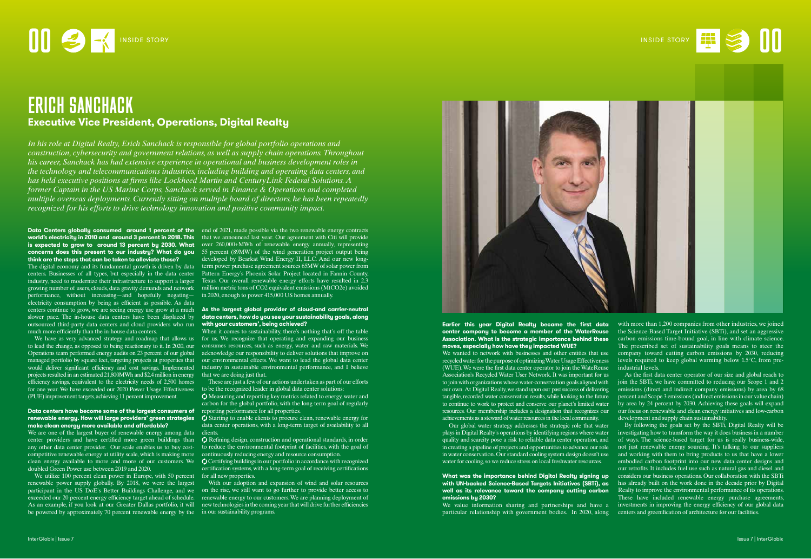## **Data Centers globally consumed around 1 percent of the** end of 2021, made possible via the two renewable energy contracts world's electricity in 2010 and around 3 percent in 2018. This that we announced last year. Our agreement with Citi will provide **is expected to grow to around 13 percent by 2030. What** over 260,000+MWh of renewable energy annually, representing **concerns does this present to our industry? What do you**  55 percent (89MW) of the wind generation project output being **think are the steps that can be taken to alleviate those?**

centers. Businesses of all types, but especially in the data center industry, need to modernize their infrastructure to support a larger performance, without increasing—and hopefully negating— in 2020, enough to power 415,000 US homes annually. electricity consumption by being as efficient as possible. As data centers continue to grow, we are seeing energy use grow at a much **As the largest global provider of cloud-and carrier-neutral**  slower pace. The in-house data centers have been displaced by outsourced third-party data centers and cloud providers who run **with your customers', being achieved?** much more efficiently than the in-house data centers.

# **Data centers have become some of the largest consumers of** reporting performance for all properties. **make clean energy more available and affordable?**

We are one of the largest buyer of renewable energy among data center providers and have certified more green buildings than any other data center provider. Our scale enables us to buy costcompetitive renewable energy at utility scale, which is making more clean energy available to more and more of our customers. We doubled Green Power use between 2019 and 2020.

We have as very advanced strategy and roadmap that allows us to lead the change, as opposed to being reactionary to it. In 2020, our Operations team performed energy audits on 23 percent of our global managed portfolio by square feet, targeting projects at properties that would deliver significant efficiency and cost savings. Implemented projects resulted in an estimated 21,800MWh and \$2.4 million in energy efficiency savings, equivalent to the electricity needs of 2,500 homes for one year. We have exceeded our 2020 Power Usage Effectiveness to be the recognized leader in global data center solutions: (PUE) improvement targets, achieving 11 percent improvement.

When it comes to sustainability, there's nothing that's off the table for us. We recognize that operating and expanding our business consumes resources, such as energy, water and raw materials. We acknowledge our responsibility to deliver solutions that improve on our environmental effects. We want to lead the global data center industry in sustainable environmental performance, and I believe that we are doing just that.

The digital economy and its fundamental growth is driven by data term power purchase agreement sources 65MW of solar power from growing number of users, clouds, data gravity demands and network million metric tons of CO2 equivalent emissions (MtCO2e) avoided developed by Bearkat Wind Energy II, LLC. And our new long-Pattern Energy's Phoenix Solar Project located in Fannin County, Texas. Our overall renewable energy efforts have resulted in 2.3

**renewable energy. How will large providers' green strategies (C)** Starting to enable clients to procure clean, renewable energy for data center operations, with a long-term target of availability to all clients.

> $\bigcirc$  Refining design, construction and operational standards, in order to reduce the environmental footprint of facilities, with the goal of continuously reducing energy and resource consumption.

We utilize 100 percent clean power in Europe, with 50 percent renewable power supply globally. By 2018, we were the largest participant in the US DoE's Better Buildings Challenge, and we exceeded our 20 percent energy efficiency target ahead of schedule. As an example, if you look at our Greater Dallas portfolio, it will be powered by approximately 70 percent renewable energy by the in our sustainability programs.

# **data centers, how do you see your sustainability goals, along**

These are just a few of our actions undertaken as part of our efforts

with more than 1,200 companies from other industries, we joined the Science-Based Target Initiative (SBTi), and set an aggressive carbon emissions time-bound goal, in line with climate science. The prescribed set of sustainability goals means to steer the company toward cutting carbon emissions by 2030, reducing levels required to keep global warming below 1.5°C, from preindustrial levels.

 Measuring and reporting key metrics related to energy, water and carbon for the global portfolio, with the long-term goal of regularly

 Certifying buildings in our portfolio in accordance with recognized certification systems, with a long-term goal of receiving certifications for all new properties.

With our adoption and expansion of wind and solar resources on the rise, we still want to go further to provide better access to renewable energy to our customers. We are planning deployment of new technologies in the coming year that will drive further efficiencies



# **1989 - CONSIDE STORY** INSIDE STORY **DESTAL AND ARRANGEMENT OF A REAL PROPERTY AND INSIDE STORY**

# ERICH SANCHACK **Executive Vice President, Operations, Digital Realty**

*In his role at Digital Realty, Erich Sanchack is responsible for global portfolio operations and construction, cybersecurity and government relations, as well as supply chain operations. Throughout his career, Sanchack has had extensive experience in operational and business development roles in the technology and telecommunications industries, including building and operating data centers, and has held executive positions at firms like Lockheed Martin and CenturyLink Federal Solutions. A former Captain in the US Marine Corps, Sanchack served in Finance & Operations and completed multiple overseas deployments. Currently sitting on multiple board of directors, he has been repeatedly recognized for his efforts to drive technology innovation and positive community impact.*

### **Earlier this year Digital Realty became the first data center company to become a member of the WaterReuse Association. What is the strategic importance behind these moves, especially how have they impacted WUE?** We wanted to network with businesses and other entities that use recycled water for the purpose of optimizing Water Usage Effectiveness (WUE). We were the first data center operator to join the WateReuse Association's Recycled Water User Network. It was important for us to join with organizations whose water-conservation goals aligned with our own. At Digital Realty, we stand upon our past success of delivering tangible, recorded water conservation results, while looking to the future to continue to work to protect and conserve our planet's limited water resources. Our membership includes a designation that recognizes our achievements as a steward of water resources in the local community.

# **emissions by 2030?**



Our global water strategy addresses the strategic role that water plays in Digital Realty's operations by identifying regions where water investigating how to transform the way it does business in a number quality and scarcity pose a risk to reliable data center operation, and of ways. The science-based target for us is really business-wide, in creating a pipeline of projects and opportunities to advance our role in water conservation. Our standard cooling system design doesn't use water for cooling, so we reduce stress on local freshwater resources. **What was the importance behind Digital Realty signing up with UN-backed Science-Based Targets Initiatives (SBTi), as well as its relevance toward the company cutting carbon**  We value information sharing and partnerships and have a particular relationship with government bodies. In 2020, along By following the goals set by the SBTi, Digital Realty will be not just renewable energy sourcing. It's talking to our suppliers and working with them to bring products to us that have a lower embodied carbon footprint into our new data center designs and our retrofits. It includes fuel use such as natural gas and diesel and considers our business operations. Our collaboration with the SBTi has already built on the work done in the decade prior by Digital Realty to improve the environmental performance of its operations. These have included renewable energy purchase agreements, investments in improving the energy efficiency of our global data centers and greenification of architecture for our facilities.

As the first data center operator of our size and global reach to join the SBTi, we have committed to reducing our Scope 1 and 2 emissions (direct and indirect company emissions) by area by 68 percent and Scope 3 emissions (indirect emissions in our value chain) by area by 24 percent by 2030. Achieving these goals will expand our focus on renewable and clean energy initiatives and low-carbon development and supply chain sustainability.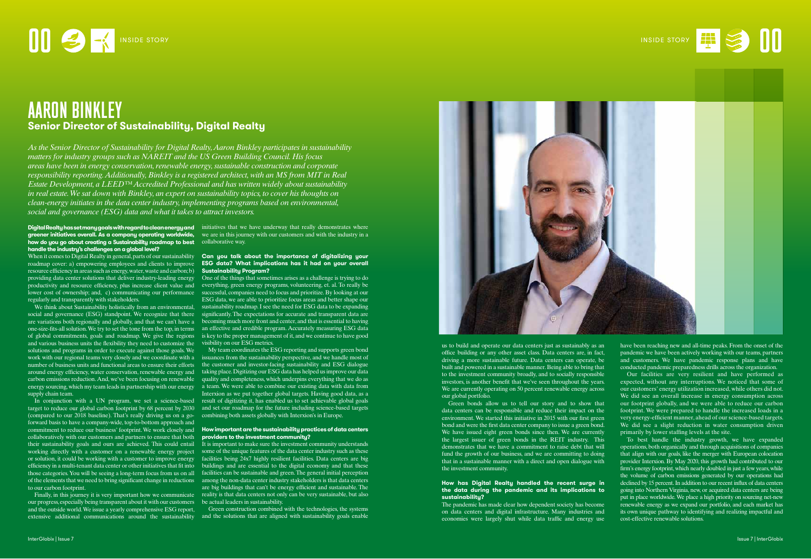### Digital Realty hasset many goals with regard toclean energy and initiatives that we have underway that really demonstrates where **greener initiatives overall. As a company operating worldwide,**  we are in this journey with our customers and with the industry in a **how do you go about creating a Sustainability roadmap to best**  collaborative way. **handle the industry's challenges on a global level?**

roadmap cover: a) empowering employees and clients to improve resource efficiency in areas such as energy, water, waste and carbon; b) providing data center solutions that deliver industry-leading energy productivity and resource efficiency, plus increase client value and lower cost of ownership; and, c) communicating our performance regularly and transparently with stakeholders.

In conjunction with a UN program, we set a science-based target to reduce our global carbon footprint by 68 percent by 2030 (compared to our 2018 baseline). That's really driving us on a goforward basis to have a company-wide, top-to-bottom approach and commitment to reduce our business' footprint. We work closely and collaboratively with our customers and partners to ensure that both **providers to the investment community?** or solution, it could be working with a customer to improve energy efficiency in a multi-tenant data center or other initiatives that fit into those categories. You will be seeing a long-term focus from us on all of the elements that we need to bring significant change in reductions to our carbon footprint.

and various business units the flexibility they need to customize the visibility on our ESG metrics. solutions and programs in order to execute against those goals. We work with our regional teams very closely and we coordinate with a number of business units and functional areas to ensure their efforts around energy efficiency, water conservation, renewable energy and carbon emissions reduction. And, we've been focusing on renewable energy sourcing, which my team leads in partnership with our energy supply chain team.

### When it comes to Digital Realty in general, parts of our sustainability **Can you talk about the importance of digitalizing your ESG data? What implications has it had on your overall Sustainability Program?**

We think about Sustainability holistically from an environmental, sustainability roadmap. I see the need for ESG data to be expanding social and governance (ESG) standpoint. We recognize that there significantly. The expectations for accurate and transparent data are are variations both regionally and globally, and that we can't have a becoming much more front and center, and that is essential to having one-size-fits-all solution. We try to set the tone from the top, in terms an effective and credible program. Accurately measuring ESG data of global commitments, goals and roadmap. We give the regions is key to the proper management of it, and we continue to have good One of the things that sometimes arises as a challenge is trying to do everything, green energy programs, volunteering, et. al. To really be successful, companies need to focus and prioritize. By looking at our ESG data, we are able to prioritize focus areas and better shape our

their sustainability goals and ours are achieved. This could entail It is important to make sure the investment community understands working directly with a customer on a renewable energy project some of the unique features of the data center industry such as these facilities being 24x7 highly resilient facilities. Data centers are big buildings and are essential to the digital economy and that these facilities can be sustainable and green. The general initial perception among the non-data center industry stakeholders is that data centers are big buildings that can't be energy efficient and sustainable. The reality is that data centers not only can be very sustainable, but also be actual leaders in sustainability.

Finally, in this journey it is very important how we communicate our progress, especially being transparent about it with our customers and the outside world. We issue a yearly comprehensive ESG report, extensive additional communications around the sustainability and the solutions that are aligned with sustainability goals enable

My team coordinates the ESG reporting and supports green bond issuances from the sustainability perspective, and we handle most of the customer and investor-facing sustainability and ESG dialogue taking place. Digitizing our ESG data has helped us improve our data quality and completeness, which underpins everything that we do as a team. We were able to combine our existing data with data from Interxion as we put together global targets. Having good data, as a result of digitizing it, has enabled us to set achievable global goals and set our roadmap for the future including science-based targets combining both assets globally with Interxion's in Europe.

# **How important are the sustainability practices of data centers**

Green construction combined with the technologies, the systems



# AARON BINKLEY **Senior Director of Sustainability, Digital Realty**

*As the Senior Director of Sustainability for Digital Realty, Aaron Binkley participates in sustainability matters for industry groups such as NAREIT and the US Green Building Council. His focus areas have been in energy conservation, renewable energy, sustainable construction and corporate responsibility reporting. Additionally, Binkley is a registered architect, with an MS from MIT in Real Estate Development, a LEED™ Accredited Professional and has written widely about sustainability in real estate. We sat down with Binkley, an expert on sustainability topics, to cover his thoughts on clean-energy initiates in the data center industry, implementing programs based on environmental, social and governance (ESG) data and what it takes to attract investors.*

> us to build and operate our data centers just as sustainably as an office building or any other asset class. Data centers are, in fact, driving a more sustainable future. Data centers can operate, be built and powered in a sustainable manner. Being able to bring that to the investment community broadly, and to socially responsible investors, is another benefit that we've seen throughout the years. We are currently operating on 50 percent renewable energy across our global portfolio.

> Green bonds allow us to tell our story and to show that data centers can be responsible and reduce their impact on the environment. We started this initiative in 2015 with our first green bond and were the first data center company to issue a green bond. We have issued eight green bonds since then. We are currently the largest issuer of green bonds in the REIT industry. This demonstrates that we have a commitment to raise debt that will fund the growth of our business, and we are committing to doing that in a sustainable manner with a direct and open dialogue with the investment community.

### **How has Digital Realty handled the recent surge in the data during the pandemic and its implications to sustainability?**

The pandemic has made clear how dependent society has become on data centers and digital infrastructure. Many industries and economies were largely shut while data traffic and energy use

have been reaching new and all-time peaks. From the onset of the pandemic we have been actively working with our teams, partners and customers. We have pandemic response plans and have conducted pandemic preparedness drills across the organization.

Our facilities are very resilient and have performed as expected, without any interruptions. We noticed that some of our customers' energy utilization increased, while others did not. We did see an overall increase in energy consumption across our footprint globally, and we were able to reduce our carbon footprint. We were prepared to handle the increased loads in a very energy-efficient manner, ahead of our science-based targets. We did see a slight reduction in water consumption driven primarily by lower staffing levels at the site.

To best handle the industry growth, we have expanded operations, both organically and through acquisitions of companies that align with our goals, like the merger with European colocation provider Interxion. By May 2020, this growth had contributed to our firm's energy footprint, which nearly doubled in just a few years, while the volume of carbon emissions generated by our operations had declined by 15 percent. In addition to our recent influx of data centers going into Northern Virginia, new, or acquired data centers are being put in place worldwide. We place a high priority on sourcing net-new renewable energy as we expand our portfolio, and each market has its own unique pathway to identifying and realizing impactful and cost-effective renewable solutions.

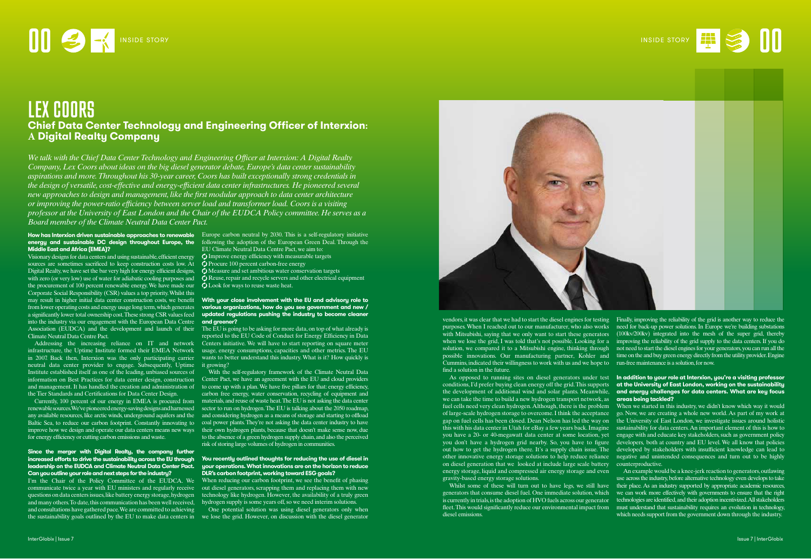# LEX COORS **Chief Data Center Technology and Engineering Officer of Interxion: A Digital Realty Company**

*We talk with the Chief Data CenterTechnology and Engineering Officer at Interxion: A Digital Realty Company, Lex Coors about ideas on the big diesel generator debate, Europe's data center sustainability aspirations and more.Throughout his 30-year career, Coors has built exceptionally strong credentials in the design of versatile, cost-effective and energy-efficient data center infrastructures. He pioneered several new approaches to design and management, like the first modular approach to data center architecture or improving the power-ratio efficiency between server load and transformer load. Coors is a visiting professor at the University of East London and the Chair of the EUDCA Policy committee. He serves as a Board member of the Climate Neutral Data Center Pact.*

### **How has Interxion driven sustainable approaches to renewable** Europe carbon neutral by 2030. This is a self-regulatory initiative **energy and sustainable DC design throughout Europe, the**  following the adoption of the European Green Deal. Through the **Middle East and Africa (EMEA)?**

Visionary designs for data centers and using sustainable, efficient energy  $\mathcal Q$  Improve energy efficiency with measurable targets sources are sometimes sacrificed to keep construction costs low. At Digital Realty, we have set the bar very high for energy efficient designs, with zero (or very low) use of water for adiabatic cooling purposes and the procurement of 100 percent renewable energy. We have made our Corporate Social Responsibility (CSR) values a top priority. Whilst this may result in higher initial data center construction costs, we benefit into the industry via our engagement with the European Data Centre **and greener?** Climate Neutral Data Centre Pact.

in 2007. Back then, Interxion was the only participating carrier neutral data center provider to engage. Subsequently, Uptime Institute established itself as one of the leading, unbiased sources of information on Best Practices for data center design, construction and management. It has handled the creation and administration of the Tier Standards and Certifications for Data Center Design.

# from lower operating costs and energy usage long term, which generates **various organizations, how do you see government and new /** a significantly lower total ownership cost. These strong CSR values feed **updated regulations pushing the industry to become cleaner With your close involvement with the EU and advisory role to**

Currently, 100 percent of our energy in EMEA is procured from renewable sources. We've pioneered energy-saving designs and harnessed any available resources, like arctic winds, underground aquifers and the Baltic Sea, to reduce our carbon footprint. Constantly innovating to for energy efficiency or cutting carbon emissions and waste.

> When reducing our carbon footprint, we see the benefit of phasing out diesel generators, scrapping them and replacing them with new technology like hydrogen. However, the availability of a truly green hydrogen supply is some years off, so we need interim solutions.

# **Since the merger with Digital Realty, the company further increased efforts to drive the sustainability across the EU through leadership on the EUDCA and Climate Neutral Data Center Pact. Can you outline your role and next steps for the industry?**

Association (EUDCA) and the development and launch of their The EU is going to be asking for more data, on top of what already is Addressing the increasing reliance on IT and network Centers initiative. We will have to start reporting on square meter infrastructure, the Uptime Institute formed their EMEA Network usage, energy consumptions, capacities and other metrics. The EU reported to the EU Code of Conduct for Energy Efficiency in Data wants to better understand this industry. What is it? How quickly is it growing?

EU Climate Neutral Data Centre Pact, we aim to:

 $\bullet$  Procure 100 percent carbon-free energy

 $\overline{Q}$  Measure and set ambitious water conservation targets

 $\bigcirc$  Reuse, repair and recycle servers and other electrical equipment **C** Look for ways to reuse waste heat.

improve how we design and operate our data centers means new ways their own hydrogen plants, because that doesn't make sense now, due With the self-regulatory framework of the Climate Neutral Data Center Pact, we have an agreement with the EU and cloud providers to come up with a plan. We have five pillars for that: energy efficiency, carbon free energy, water conservation, recycling of equipment and materials, and reuse of waste heat. The EU is not asking the data center sector to run on hydrogen. The EU is talking about the 2050 roadmap, and considering hydrogen as a means of storage and starting to offload coal power plants. They're not asking the data center industry to have to the absence of a green hydrogen supply chain, and also the perceived risk of storing large volumes of hydrogen in communities.

# As opposed to running sites on diesel generators under test **In addition to your role at Interxion, you're a visiting professor** conditions, I'd prefer buying clean energy off the grid. This supports **at the University of East London, working on the sustainability**  the development of additional wind and solar plants. Meanwhile, **and energy challenges for data centers. What are key focus**

I'm the Chair of the Policy Committee of the EUDCA. We communicate twice a year with EU ministers and regularly receive questions on data centers issues, like battery energy storage, hydrogen and many others. To date, this communication has been well received, and consultations have gathered pace. We are committed to achieving the sustainability goals outlined by the EU to make data centers in we lose the grid. However, on discussion with the diesel generator

### **You recently outlined thoughts for reducing the use of diesel in your operations. What innovations are on the horizon to reduce DLR's carbon footprint, working toward ESG goals?**

One potential solution was using diesel generators only when

vendors, it was clear that we had to start the diesel engines for testing Finally, improving the reliability of the grid is another way to reduce the purposes. When I reached out to our manufacturer, who also works need for back-up power solutions. In Europe we're building substations with Mitsubishi, saying that we only want to start these generators (100kv/200kv) integrated into the mesh of the super grid, thereby when we lose the grid, I was told that's not possible. Looking for a improving the reliability of the grid supply to the data centers. If you do solution, we compared it to a Mitsubishi engine, thinking through not need to start the diesel engines for your generators, you can run all the possible innovations. Our manufacturing partner, Kohler and time on the and buy green energy directly from the utility provider. Engine Cummins, indicated their willingness to work with us and we hope to run-free maintenance is a solution, for now. find a solution in the future.

we can take the time to build a new hydrogen transport network, as **areas being tackled?**  of large-scale hydrogen storage to overcome. I think the acceptance gap on fuel cells has been closed. Dean Nelson has led the way on out how to get the hydrogen there. It's a supply chain issue. The on diesel generation that we looked at include large scale battery counterproductive. gravity-based energy storage solutions.

fuel cells need very clean hydrogen. Although, there is the problem When we started in this industry, we didn't know which way it would this with his data center in Utah for eBay a few years back. Imagine sustainability for data centers. An important element of this is how to you have a 20- or 40-megawatt data center at some location, yet engage with and educate key stakeholders, such as government policy you don't have a hydrogen grid nearby. So, you have to figure developers, both at country and EU level. We all know that policies other innovative energy storage solutions to help reduce reliance negative and unintended consequences and turn out to be highly go. Now, we are creating a whole new world. As part of my work at the University of East London, we investigate issues around holistic developed by stakeholders with insufficient knowledge can lead to

energy storage, liquid and compressed air energy storage and even Whilst some of these will turn out to have legs, we still have their place. As an industry supported by appropriate academic resources, generators that consume diesel fuel. One immediate solution, which we can work more effectively with governments to ensure that the right is currently in trials, is the adoption of HVO fuels across our generator technologies are identified, and their adoption incentivized. All stakeholders fleet. This would significantly reduce our environmental impact from must understand that sustainability requires an evolution in technology, diesel emissions. An example would be a knee-jerk reaction to generators, outlawing use across the industry, before alternative technology even develops to take which needs support from the government down through the industry.

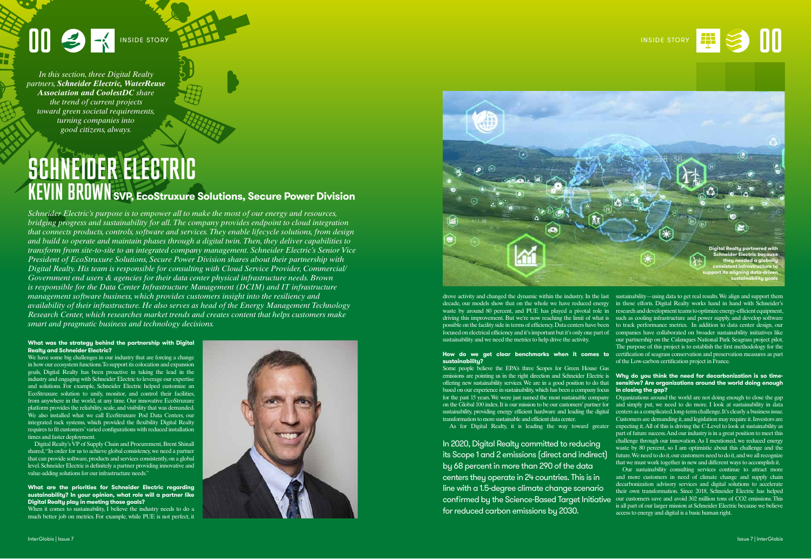# **00 B 1** INSIDE STORY **1991**

*In this section, three Digital Realty partners, Schneider Electric, WaterReuse Association and CoolestDC share the trend of current projects toward green societal requirements, turning companies into good citizens, always.*



# **What was the strategy behind the partnership with Digital Realty and Schneider Electric?**

We have some big challenges in our industry that are forcing a change in how our ecosystem functions. To support its colocation and expansion goals, Digital Realty has been proactive in taking the lead in the industry and engaging with Schneider Electric to leverage our expertise and solutions. For example, Schneider Electric helped customize an EcoStruxure solution to unify, monitor, and control their facilities, from anywhere in the world, at any time. Our innovative EcoStruxure platform provides the reliability, scale, and visibility that was demanded. We also installed what we call EcoStruxure Pod Data Centers, our integrated rack systems, which provided the flexibility Digital Realty requires to fit customers' varied configurations with reduced installation times and faster deployment.

When it comes to sustainability, I believe the industry needs to do a much better job on metrics. For example, while PUE is not perfect, it



Digital Realty's VP of Supply Chain and Procurement, Brent Shinall shared, "In order for us to achieve global consistency, we need a partner that can provide software, products and services consistently, on a global level. Schneider Electric is definitely a partner providing innovative and value-adding solutions for our infrastructure needs."

## **What are the priorities for Schneider Electric regarding sustainability? In your opinion, what role will a partner like Digital Realty play in meeting those goals?**

**How do we get clear benchmarks when it comes to** certification of seagrass conservation and preservation measures as part our partnership on the Calanques National Park Seagrass project pilot. The purpose of this project is to establish the first methodology for the of the Low-carbon certification project in France.

## emissions are pointing us in the right direction and Schneider Electric is **Why do you think the need for decarbonization is so timesensitive? Are organizations around the world doing enough in closing the gap?**

drove activity and changed the dynamic within the industry. In the last sustainability—using data to get real results. We align and support them decade, our models show that on the whole we have reduced energy in these efforts. Digital Realty works hand in hand with Schneider's waste by around 80 percent, and PUE has played a pivotal role in research and development teams to optimize energy-efficient equipment, driving this improvement. But we're now reaching the limit of what is such as cooling infrastructure and power supply, and develop software possible on the facility side in terms of efficiency. Data centers have been to track performance metrics. In addition to data center design, our focused on electrical efficiency and it's important but it's only one part of companies have collaborated on broader sustainability initiatives like sustainability and we need the metrics to help drive the activity.

# **sustainability?**

SCHNEIDER ELECTRIC KEVIN BROWN**SVP, EcoStruxure Solutions, Secure Power Division**

> Some people believe the EPA's three Scopes for Green House Gas offering new sustainability services. We are in a good position to do that based on our experience in sustainability, which has been a company focus for the past 15 years. We were just named the most sustainable company sustainability, providing energy efficient hardware and leading the digital transformation to more sustainable and efficient data center.

on the Global 100 index. It is our mission to be our customers' partner for and simply put, we need to do more. I look at sustainability in data As for Digital Realty, it is leading the way toward greater expecting it. All of this is driving the C-Level to look at sustainability as Organizations around the world are not doing enough to close the gap centers as a complicated, long-term challenge. It's clearly a business issue. Customers are demanding it, and legislation may require it. Investors are part of future success. And our industry is in a great position to meet this challenge through our innovation. As I mentioned, we reduced energy

waste by 80 percent, so I am optimistic about this challenge and the future. We need to do it, our customers need to do it, and we all recognize that we must work together in new and different ways to accomplish it. Our sustainability consulting services continue to attract more and more customers in need of climate change and supply chain decarbonization advisory services and digital solutions to accelerate their own transformation. Since 2018, Schneider Electric has helped confirmed by the Science-Based Target Initiative  $\alpha$  cur customers save and avoid 302 million tons of CO2 emissions. This is all part of our larger mission at Schneider Electric because we believe access to energy and digital is a basic human right. In 2020, Digital Realty committed to reducing its Scope 1 and 2 emissions (direct and indirect) by 68 percent in more than 290 of the data centers they operate in 24 countries. This is in line with a 1.5-degree climate change scenario for reduced carbon emissions by 2030.

*Schneider Electric's purpose is to empower all to make the most of our energy and resources, bridging progress and sustainability for all. The company provides endpoint to cloud integration that connects products, controls, software and services. They enable lifecycle solutions, from design and build to operate and maintain phases through a digital twin. Then, they deliver capabilities to transform from site-to-site to an integrated company management. Schneider Electric's Senior Vice President of EcoStruxure Solutions, Secure Power Division shares about their partnership with Digital Realty. His team is responsible for consulting with Cloud Service Provider, Commercial/ Government end users & agencies for their data center physical infrastructure needs. Brown is responsible for the Data Center Infrastructure Management (DCIM) and IT infrastructure management software business, which provides customers insight into the resiliency and availability of their infrastructure. He also serves as head of the Energy Management Technology Research Center, which researches market trends and creates content that helps customers make smart and pragmatic business and technology decisions.*

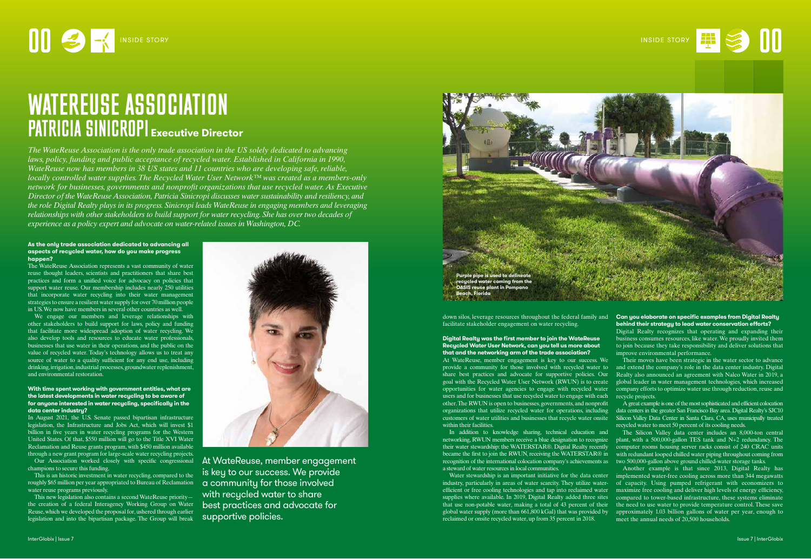

## **As the only trade association dedicated to advancing all aspects of recycled water, how do you make progress happen?**

The WateReuse Association represents a vast community of water reuse thought leaders, scientists and practitioners that share best practices and form a unified voice for advocacy on policies that support water reuse. Our membership includes nearly 250 utilities that incorporate water recycling into their water management strategies to ensure a resilient water supply for over 70 million people in US. We now have members in several other countries as well.

We engage our members and leverage relationships with other stakeholders to build support for laws, policy and funding that facilitate more widespread adoption of water recycling. We also develop tools and resources to educate water professionals, businesses that use water in their operations, and the public on the value of recycled water. Today's technology allows us to treat any source of water to a quality sufficient for any end use, including drinking, irrigation, industrial processes, groundwater replenishment, and environmental restoration.

Our Association worked closely with specific congressional champions to secure this funding.

## **With time spent working with government entities, what are the latest developments in water recycling to be aware of for anyone interested in water recycling, specifically in the data center industry?**

In August 2021, the U.S. Senate passed bipartisan infrastructure legislation, the Infrastructure and Jobs Act, which will invest \$1 billion in five years in water recycling programs for the Western United States. Of that, \$550 million will go to the Title XVI Water Reclamation and Reuse grants program, with \$450 million available through a new grant program for large-scale water recycling projects.

This is an historic investment in water recycling, compared to the roughly \$65 million per year appropriated to Bureau of Reclamation water reuse programs previously.

This new legislation also contains a second WateReuse priority the creation of a federal Interagency Working Group on Water Reuse, which we developed the proposal for, ushered through earlier legislation and into the bipartisan package. The Group will break



Their moves have been strategic in the water sector to advance and extend the company's role in the data center industry. Digital Realty also announced an agreement with Nalco Water in 2019, a global leader in water management technologies, which increased company efforts to optimize water use through reduction, reuse and recycle projects.

down silos, leverage resources throughout the federal family and facilitate stakeholder engagement on water recycling.

> Another example is that since 2013, Digital Realty has implemented water-free cooling across more than 344 megawatts of capacity. Using pumped refrigerant with economizers to maximize free cooling and deliver high levels of energy efficiency, compared to tower-based infrastructure, these systems eliminate the need to use water to provide temperature control. These save approximately 1.03 billion gallons of water per year, enough to meet the annual needs of 20,500 households.

**Digital Realty was the first member to join the WateReuse Recycled Water User Network, can you tell us more about that and the networking arm of the trade association?** At WateReuse, member engagement is key to our success. We provide a community for those involved with recycled water to share best practices and advocate for supportive policies. Our goal with the Recycled Water User Network (RWUN) is to create opportunities for water agencies to engage with recycled water users and for businesses that use recycled water to engage with each other. The RWUN is open to businesses, governments, and nonprofit customers of water utilities and businesses that recycle water onsite within their facilities.

In addition to knowledge sharing, technical education and networking, RWUN members receive a blue designation to recognize their water stewardship: the WATERSTAR®. Digital Realty recently became the first to join the RWUN, receiving the WATERSTAR® in recognition of the international colocation company's achievements as a steward of water resources in local communities.

Water stewardship is an important initiative for the data center industry, particularly in areas of water scarcity. They utilize waterefficient or free cooling technologies and tap into reclaimed water supplies where available. In 2019, Digital Realty added three sites that use non-potable water, making a total of 43 percent of their global water supply (more than 661,800 kGal) that was provided by reclaimed or onsite recycled water, up from 35 percent in 2018.

organizations that utilize recycled water for operations, including data centers in the greater San Francisco Bay area. Digital Realty's SJC10 A great example is one of the most sophisticated and efficient colocation Silicon Valley Data Center in Santa Clara, CA, uses municipally treated recycled water to meet 50 percent of its cooling needs.

# **Can you elaborate on specific examples from Digital Realty behind their strategy to lead water conservation efforts?**

Digital Realty recognizes that operating and expanding their business consumes resources, like water. We proudly invited them to join because they take responsibility and deliver solutions that improve environmental performance.

The Silicon Valley data center includes an 8,000-ton central plant, with a 500,000-gallon TES tank and N+2 redundancy. The computer rooms housing server racks consist of 240 CRAC units with redundant looped chilled water piping throughout coming from two 500,000-gallon above ground chilled-water storage tanks.

# WATEREUSE ASSOCIATION PATRICIA SINICROPI **Executive Director**

*The WateReuse Association is the only trade association in the US solely dedicated to advancing laws, policy, funding and public acceptance of recycled water. Established in California in 1990, WateReuse now has members in 38 US states and 11 countries who are developing safe, reliable, locally controlled water supplies. The Recycled Water User Network™ was created as a members-only network for businesses, governments and nonprofit organizations that use recycled water. As Executive Director of the WateReuse Association, Patricia Sinicropi discusses water sustainability and resiliency, and the role Digital Realty plays in its progress. Sinicropi leads WateReuse in engaging members and leveraging relationships with other stakeholders to build support for water recycling. She has over two decades of experience as a policy expert and advocate on water-related issues in Washington, DC.*

> At WateReuse, member engagement is key to our success. We provide a community for those involved with recycled water to share best practices and advocate for supportive policies.